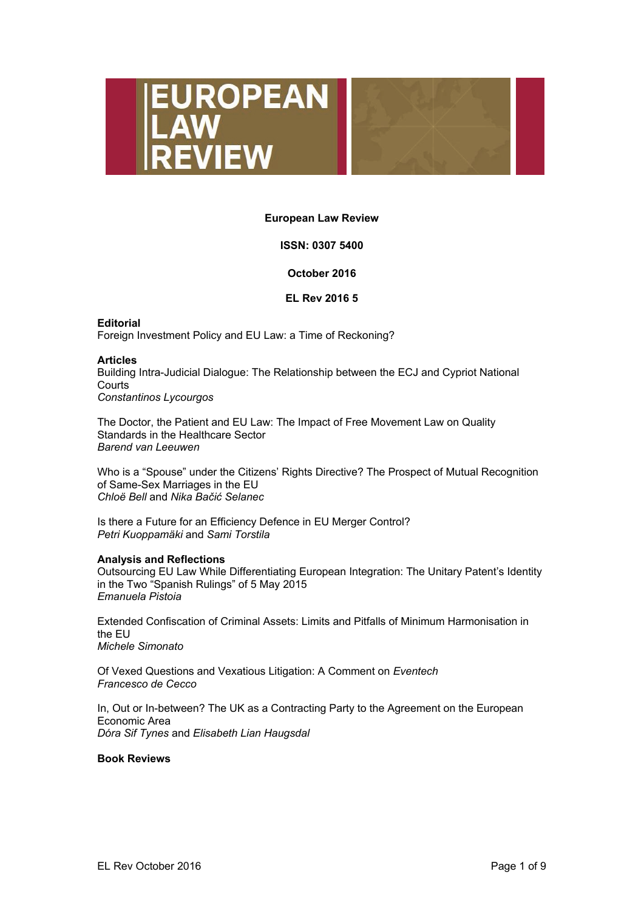



### **European Law Review**

# **ISSN: 0307 5400**

### **October 2016**

### **EL Rev 2016 5**

**Editorial**  Foreign Investment Policy and EU Law: a Time of Reckoning?

### **Articles**

Building Intra-Judicial Dialogue: The Relationship between the ECJ and Cypriot National **Courts** *Constantinos Lycourgos* 

The Doctor, the Patient and EU Law: The Impact of Free Movement Law on Quality Standards in the Healthcare Sector *Barend van Leeuwen* 

Who is a "Spouse" under the Citizens' Rights Directive? The Prospect of Mutual Recognition of Same-Sex Marriages in the EU *Chloë Bell* and *Nika Bačić Selanec* 

Is there a Future for an Efficiency Defence in EU Merger Control? *Petri Kuoppamäki* and *Sami Torstila* 

### **Analysis and Reflections**

Outsourcing EU Law While Differentiating European Integration: The Unitary Patent's Identity in the Two "Spanish Rulings" of 5 May 2015 *Emanuela Pistoia* 

Extended Confiscation of Criminal Assets: Limits and Pitfalls of Minimum Harmonisation in the EU *Michele Simonato* 

Of Vexed Questions and Vexatious Litigation: A Comment on *Eventech Francesco de Cecco* 

In, Out or In-between? The UK as a Contracting Party to the Agreement on the European Economic Area *Dóra Sif Tynes* and *Elisabeth Lian Haugsdal* 

### **Book Reviews**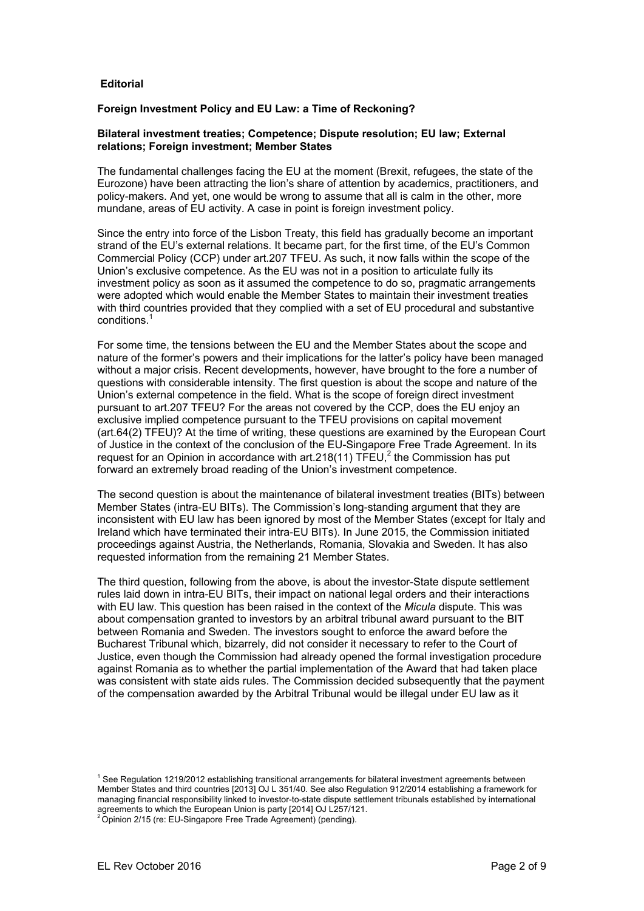### **Editorial**

### **Foreign Investment Policy and EU Law: a Time of Reckoning?**

### **Bilateral investment treaties; Competence; Dispute resolution; EU law; External relations; Foreign investment; Member States**

The fundamental challenges facing the EU at the moment (Brexit, refugees, the state of the Eurozone) have been attracting the lion's share of attention by academics, practitioners, and policy-makers. And yet, one would be wrong to assume that all is calm in the other, more mundane, areas of EU activity. A case in point is foreign investment policy.

Since the entry into force of the Lisbon Treaty, this field has gradually become an important strand of the EU's external relations. It became part, for the first time, of the EU's Common Commercial Policy (CCP) under art.207 TFEU. As such, it now falls within the scope of the Union's exclusive competence. As the EU was not in a position to articulate fully its investment policy as soon as it assumed the competence to do so, pragmatic arrangements were adopted which would enable the Member States to maintain their investment treaties with third countries provided that they complied with a set of EU procedural and substantive conditions.1

For some time, the tensions between the EU and the Member States about the scope and nature of the former's powers and their implications for the latter's policy have been managed without a major crisis. Recent developments, however, have brought to the fore a number of questions with considerable intensity. The first question is about the scope and nature of the Union's external competence in the field. What is the scope of foreign direct investment pursuant to art.207 TFEU? For the areas not covered by the CCP, does the EU enjoy an exclusive implied competence pursuant to the TFEU provisions on capital movement (art.64(2) TFEU)? At the time of writing, these questions are examined by the European Court of Justice in the context of the conclusion of the EU-Singapore Free Trade Agreement. In its request for an Opinion in accordance with art. 218(11)  $\overline{\text{TEU}}$ , the Commission has put forward an extremely broad reading of the Union's investment competence.

The second question is about the maintenance of bilateral investment treaties (BITs) between Member States (intra-EU BITs). The Commission's long-standing argument that they are inconsistent with EU law has been ignored by most of the Member States (except for Italy and Ireland which have terminated their intra-EU BITs). In June 2015, the Commission initiated proceedings against Austria, the Netherlands, Romania, Slovakia and Sweden. It has also requested information from the remaining 21 Member States.

The third question, following from the above, is about the investor-State dispute settlement rules laid down in intra-EU BITs, their impact on national legal orders and their interactions with EU law. This question has been raised in the context of the *Micula* dispute. This was about compensation granted to investors by an arbitral tribunal award pursuant to the BIT between Romania and Sweden. The investors sought to enforce the award before the Bucharest Tribunal which, bizarrely, did not consider it necessary to refer to the Court of Justice, even though the Commission had already opened the formal investigation procedure against Romania as to whether the partial implementation of the Award that had taken place was consistent with state aids rules. The Commission decided subsequently that the payment of the compensation awarded by the Arbitral Tribunal would be illegal under EU law as it

<sup>&</sup>lt;sup>1</sup> See Regulation 1219/2012 establishing transitional arrangements for bilateral investment agreements between Member States and third countries [2013] OJ L 351/40. See also Regulation 912/2014 establishing a framework for managing financial responsibility linked to investor-to-state dispute settlement tribunals established by international agreements to which the European Union is party [2014] OJ L257/121.<br><sup>2</sup> Opinion 2/15 (re: EU-Singapore Free Trade Agreement) (pending).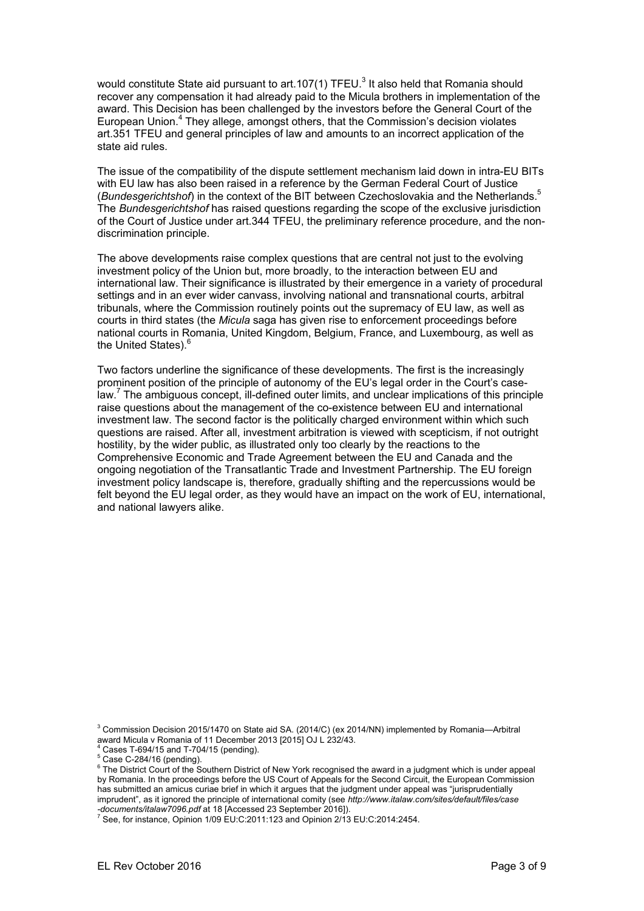would constitute State aid pursuant to art.107(1) TFEU.<sup>3</sup> It also held that Romania should recover any compensation it had already paid to the Micula brothers in implementation of the award. This Decision has been challenged by the investors before the General Court of the European Union.<sup>4</sup> They allege, amongst others, that the Commission's decision violates art.351 TFEU and general principles of law and amounts to an incorrect application of the state aid rules.

The issue of the compatibility of the dispute settlement mechanism laid down in intra-EU BITs with EU law has also been raised in a reference by the German Federal Court of Justice (*Bundesgerichtshof*) in the context of the BIT between Czechoslovakia and the Netherlands.5 The *Bundesgerichtshof* has raised questions regarding the scope of the exclusive jurisdiction of the Court of Justice under art.344 TFEU, the preliminary reference procedure, and the nondiscrimination principle.

The above developments raise complex questions that are central not just to the evolving investment policy of the Union but, more broadly, to the interaction between EU and international law. Their significance is illustrated by their emergence in a variety of procedural settings and in an ever wider canvass, involving national and transnational courts, arbitral tribunals, where the Commission routinely points out the supremacy of EU law, as well as courts in third states (the *Micula* saga has given rise to enforcement proceedings before national courts in Romania, United Kingdom, Belgium, France, and Luxembourg, as well as the United States).<sup>6</sup>

Two factors underline the significance of these developments. The first is the increasingly prominent position of the principle of autonomy of the EU's legal order in the Court's caselaw.<sup>7</sup> The ambiguous concept, ill-defined outer limits, and unclear implications of this principle raise questions about the management of the co-existence between EU and international investment law. The second factor is the politically charged environment within which such questions are raised. After all, investment arbitration is viewed with scepticism, if not outright hostility, by the wider public, as illustrated only too clearly by the reactions to the Comprehensive Economic and Trade Agreement between the EU and Canada and the ongoing negotiation of the Transatlantic Trade and Investment Partnership. The EU foreign investment policy landscape is, therefore, gradually shifting and the repercussions would be felt beyond the EU legal order, as they would have an impact on the work of EU, international, and national lawyers alike.

<sup>3</sup> Commission Decision 2015/1470 on State aid SA. (2014/C) (ex 2014/NN) implemented by Romania—Arbitral award Micula v Romania of 11 December 2013 [2015] OJ L 232/43.

 $4$  Cases T-694/15 and T-704/15 (pending).

<sup>6</sup> The District Court of the Southern District of New York recognised the award in a judgment which is under appeal by Romania. In the proceedings before the US Court of Appeals for the Second Circuit, the European Commission has submitted an amicus curiae brief in which it argues that the judgment under appeal was "jurisprudentially imprudent", as it ignored the principle of international comity (see *http://www.italaw.com/sites/default/files/case* 

*-documents/italaw7096.pdf* at 18 [Accessed 23 September 2016]).<br><sup>7</sup> See, for instance, Opinion 1/09 EU:C:2011:123 and Opinion 2/13 EU:C:2014:2454.

<sup>5</sup> Case C-284/16 (pending).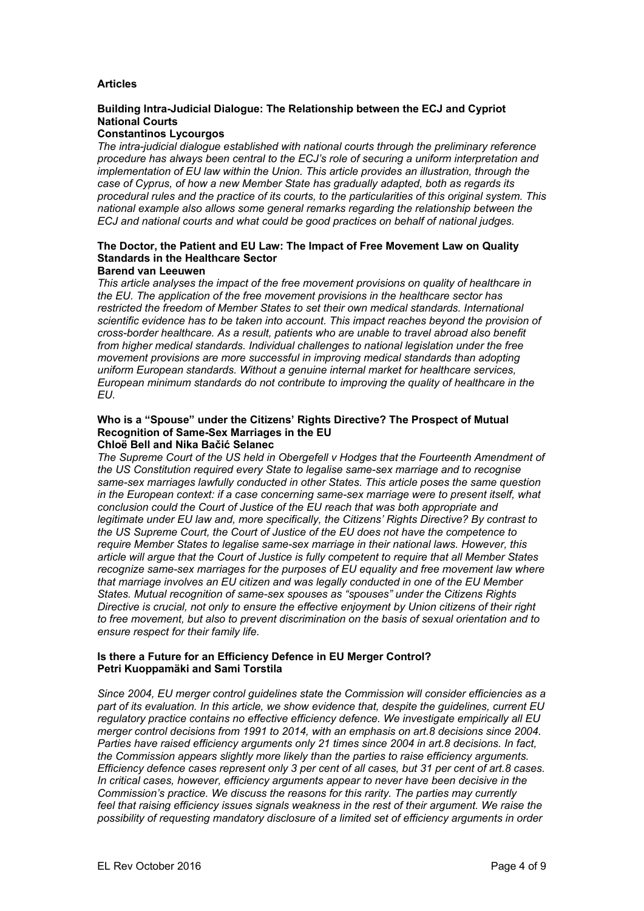# **Articles**

# **Building Intra-Judicial Dialogue: The Relationship between the ECJ and Cypriot National Courts**

### **Constantinos Lycourgos**

*The intra-judicial dialogue established with national courts through the preliminary reference procedure has always been central to the ECJ's role of securing a uniform interpretation and implementation of EU law within the Union. This article provides an illustration, through the case of Cyprus, of how a new Member State has gradually adapted, both as regards its procedural rules and the practice of its courts, to the particularities of this original system. This national example also allows some general remarks regarding the relationship between the ECJ and national courts and what could be good practices on behalf of national judges.* 

# **The Doctor, the Patient and EU Law: The Impact of Free Movement Law on Quality Standards in the Healthcare Sector**

### **Barend van Leeuwen**

*This article analyses the impact of the free movement provisions on quality of healthcare in the EU. The application of the free movement provisions in the healthcare sector has restricted the freedom of Member States to set their own medical standards. International scientific evidence has to be taken into account. This impact reaches beyond the provision of cross-border healthcare. As a result, patients who are unable to travel abroad also benefit from higher medical standards. Individual challenges to national legislation under the free movement provisions are more successful in improving medical standards than adopting uniform European standards. Without a genuine internal market for healthcare services, European minimum standards do not contribute to improving the quality of healthcare in the EU.* 

#### **Who is a "Spouse" under the Citizens' Rights Directive? The Prospect of Mutual Recognition of Same-Sex Marriages in the EU Chloë Bell and Nika Bačić Selanec**

*The Supreme Court of the US held in Obergefell v Hodges that the Fourteenth Amendment of the US Constitution required every State to legalise same-sex marriage and to recognise same-sex marriages lawfully conducted in other States. This article poses the same question in the European context: if a case concerning same-sex marriage were to present itself, what conclusion could the Court of Justice of the EU reach that was both appropriate and legitimate under EU law and, more specifically, the Citizens' Rights Directive? By contrast to the US Supreme Court, the Court of Justice of the EU does not have the competence to require Member States to legalise same-sex marriage in their national laws. However, this article will argue that the Court of Justice is fully competent to require that all Member States recognize same-sex marriages for the purposes of EU equality and free movement law where that marriage involves an EU citizen and was legally conducted in one of the EU Member States. Mutual recognition of same-sex spouses as "spouses" under the Citizens Rights Directive is crucial, not only to ensure the effective enjoyment by Union citizens of their right to free movement, but also to prevent discrimination on the basis of sexual orientation and to ensure respect for their family life.* 

### **Is there a Future for an Efficiency Defence in EU Merger Control? Petri Kuoppamäki and Sami Torstila**

*Since 2004, EU merger control guidelines state the Commission will consider efficiencies as a part of its evaluation. In this article, we show evidence that, despite the guidelines, current EU regulatory practice contains no effective efficiency defence. We investigate empirically all EU merger control decisions from 1991 to 2014, with an emphasis on art.8 decisions since 2004. Parties have raised efficiency arguments only 21 times since 2004 in art.8 decisions. In fact, the Commission appears slightly more likely than the parties to raise efficiency arguments. Efficiency defence cases represent only 3 per cent of all cases, but 31 per cent of art.8 cases. In critical cases, however, efficiency arguments appear to never have been decisive in the Commission's practice. We discuss the reasons for this rarity. The parties may currently feel that raising efficiency issues signals weakness in the rest of their argument. We raise the possibility of requesting mandatory disclosure of a limited set of efficiency arguments in order*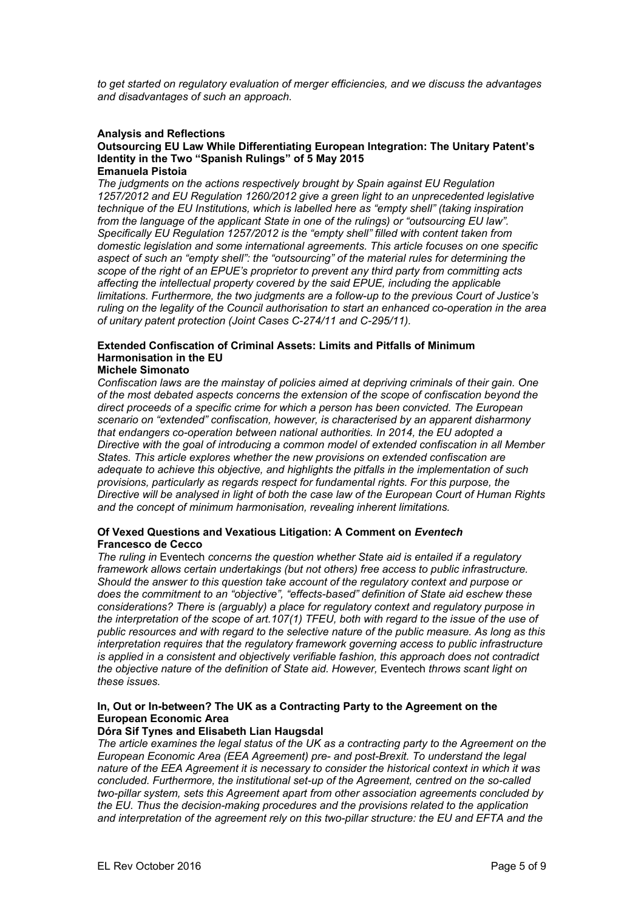*to get started on regulatory evaluation of merger efficiencies, and we discuss the advantages and disadvantages of such an approach.* 

### **Analysis and Reflections**

#### **Outsourcing EU Law While Differentiating European Integration: The Unitary Patent's Identity in the Two "Spanish Rulings" of 5 May 2015 Emanuela Pistoia**

*The judgments on the actions respectively brought by Spain against EU Regulation 1257/2012 and EU Regulation 1260/2012 give a green light to an unprecedented legislative technique of the EU Institutions, which is labelled here as "empty shell" (taking inspiration from the language of the applicant State in one of the rulings) or "outsourcing EU law". Specifically EU Regulation 1257/2012 is the "empty shell" filled with content taken from domestic legislation and some international agreements. This article focuses on one specific aspect of such an "empty shell": the "outsourcing" of the material rules for determining the scope of the right of an EPUE's proprietor to prevent any third party from committing acts affecting the intellectual property covered by the said EPUE, including the applicable limitations. Furthermore, the two judgments are a follow-up to the previous Court of Justice's ruling on the legality of the Council authorisation to start an enhanced co-operation in the area of unitary patent protection (Joint Cases C-274/11 and C-295/11).* 

# **Extended Confiscation of Criminal Assets: Limits and Pitfalls of Minimum Harmonisation in the EU**

### **Michele Simonato**

*Confiscation laws are the mainstay of policies aimed at depriving criminals of their gain. One of the most debated aspects concerns the extension of the scope of confiscation beyond the direct proceeds of a specific crime for which a person has been convicted. The European scenario on "extended" confiscation, however, is characterised by an apparent disharmony that endangers co-operation between national authorities. In 2014, the EU adopted a Directive with the goal of introducing a common model of extended confiscation in all Member States. This article explores whether the new provisions on extended confiscation are adequate to achieve this objective, and highlights the pitfalls in the implementation of such provisions, particularly as regards respect for fundamental rights. For this purpose, the Directive will be analysed in light of both the case law of the European Court of Human Rights and the concept of minimum harmonisation, revealing inherent limitations.* 

### **Of Vexed Questions and Vexatious Litigation: A Comment on** *Eventech* **Francesco de Cecco**

*The ruling in* Eventech *concerns the question whether State aid is entailed if a regulatory framework allows certain undertakings (but not others) free access to public infrastructure. Should the answer to this question take account of the regulatory context and purpose or does the commitment to an "objective", "effects-based" definition of State aid eschew these considerations? There is (arguably) a place for regulatory context and regulatory purpose in the interpretation of the scope of art.107(1) TFEU, both with regard to the issue of the use of public resources and with regard to the selective nature of the public measure. As long as this interpretation requires that the regulatory framework governing access to public infrastructure is applied in a consistent and objectively verifiable fashion, this approach does not contradict the objective nature of the definition of State aid. However,* Eventech *throws scant light on these issues.* 

# **In, Out or In-between? The UK as a Contracting Party to the Agreement on the European Economic Area**

# **Dóra Sif Tynes and Elisabeth Lian Haugsdal**

*The article examines the legal status of the UK as a contracting party to the Agreement on the European Economic Area (EEA Agreement) pre- and post-Brexit. To understand the legal nature of the EEA Agreement it is necessary to consider the historical context in which it was concluded. Furthermore, the institutional set-up of the Agreement, centred on the so-called two-pillar system, sets this Agreement apart from other association agreements concluded by the EU. Thus the decision-making procedures and the provisions related to the application and interpretation of the agreement rely on this two-pillar structure: the EU and EFTA and the*